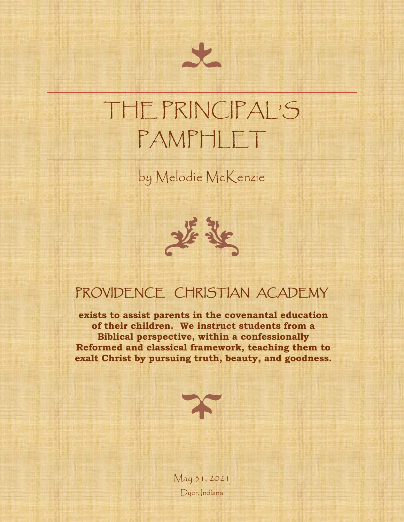# THE PRINCIPAL'S PAMPHLET

by Melodie McKenzie



### PROVIDENCE CHRISTIAN ACADEMY

**exists to assist parents in the covenantal education of their children. We instruct students from a Biblical perspective, within a confessionally Reformed and classical framework, teaching them to exalt Christ by pursuing truth, beauty, and goodness.**



May 31, 2021 Dyer, Indiana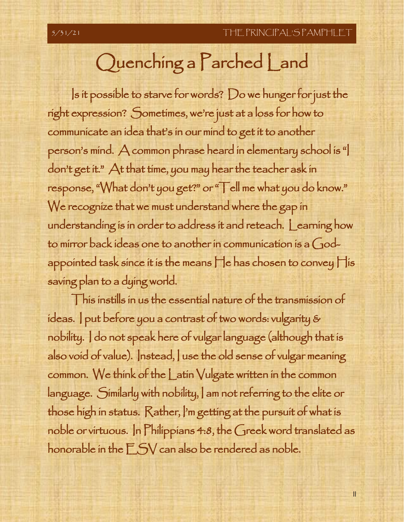## Quenching a Parched Land

Is it possible to starve for words? Do we hunger for just the right expression? Sometimes, we're just at a loss for how to communicate an idea that's in our mind to get it to another person's mind. A common phrase heard in elementary school is "I don't get it." At that time, you may hear the teacher ask in response, "What don't you get?" or "Tell me what you do know." We recognize that we must understand where the gap in understanding is in order to address it and reteach. Learning how to mirror back ideas one to another in communication is a Godappointed task since it is the means He has chosen to convey His saving plan to a dying world.

This instills in us the essential nature of the transmission of ideas. I put before you a contrast of two words: vulgarity & nobility. I do not speak here of vulgar language (although that is also void of value). Instead, I use the old sense of vulgar meaning common. We think of the Latin Vulgate written in the common language. Similarly with nobility, I am not referring to the elite or those high in status. Rather, I'm getting at the pursuit of what is noble or virtuous. In Philippians 4:8, the Greek word translated as honorable in the ESV can also be rendered as noble.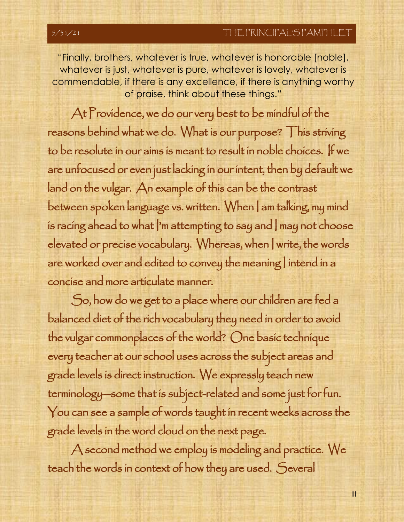III

 "Finally, brothers, whatever is true, whatever is honorable [noble], commendable, if there is any excellence, if there is anything worthy whatever is just, whatever is pure, whatever is lovely, whatever is of praise, think about these things."

At Providence, we do our very best to be mindful of the reasons behind what we do. What is our purpose? This striving to be resolute in our aims is meant to result in noble choices. If we are unfocused or even just lacking in our intent, then by default we land on the vulgar. An example of this can be the contrast between spoken language vs. written. When | am talking, my mind is racing ahead to what  $\vert$ 'm attempting to say and  $\vert$  may not choose elevated or precise vocabulary. Whereas, when I write, the words are worked over and edited to convey the meaning | intend in a concise and more articulate manner.

So, how do we get to a place where our children are fed a balanced diet of the rich vocabulary they need in order to avoid the vulgar commonplaces of the world? One basic technique every teacher at our school uses across the subject areas and grade levels is direct instruction. We expressly teach new terminology—some that is subject-related and some just for fun. You can see a sample of words taught in recent weeks across the grade levels in the word cloud on the next page.

A second method we employ is modeling and practice. We teach the words in context of how they are used. Several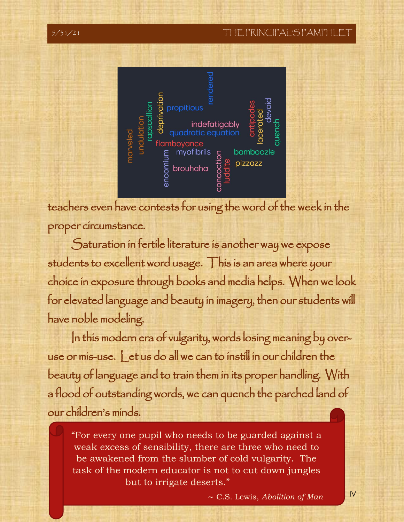### 5/31/21 THE PRINCIPAL'S PAMPHI





teachers even have contests for using the word of the week in the proper circumstance.

Saturation in fertile literature is another way we expose students to excellent word usage. This is an area where your choice in exposure through books and media helps. When we look for elevated language and beauty in imagery, then our students will have noble modeling.

In this modern era of vulgarity, words losing meaning by overuse or mis-use. Let us do all we can to instill in our children the beauty of language and to train them in its proper handling. With a flood of outstanding words, we can quench the parched land of our children's minds.

 "For every one pupil who needs to be guarded against a weak excess of sensibility, there are three who need to task of the modern educator is not to cut down jungles be awakened from the slumber of cold vulgarity. The but to irrigate deserts."

IV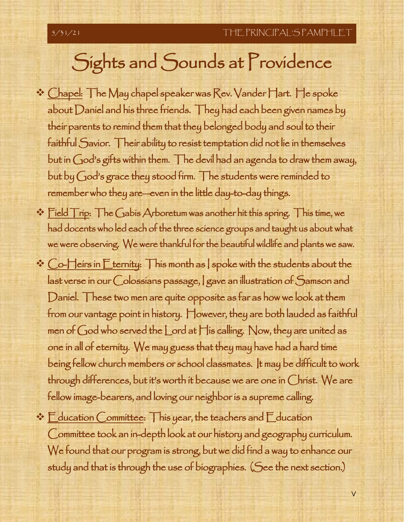## Sights and Sounds at Providence

- ❖ Chapel: The May chapel speaker was Rev. Vander Hart. He spoke about Daniel and his three friends. They had each been given names by their parents to remind them that they belonged body and soul to their faithful Savior. Their ability to resist temptation did not lie in themselves but in God's gifts within them. The devil had an agenda to draw them away, but by God's grace they stood firm. The students were reminded to remember who they are—even in the little day-to-day things.
- ❖ Field Trip: The Gabis Arboretum was another hit this spring. This time, we had docents who led each of the three science groups and taught us about what we were observing. We were thankful for the beautiful wildlife and plants we saw.
- ❖ Co-Heirs in Eternity: This month as I spoke with the students about the last verse in our Colossians passage, I gave an illustration of Samson and Daniel. These two men are quite opposite as far as how we look at them from our vantage point in history. However, they are both lauded as faithful men of God who served the Lord at His calling. Now, they are united as one in all of eternity. We may guess that they may have had a hard time being fellow church members or school classmates. It may be difficult to work through differences, but it's worth it because we are one in Christ. We are fellow image-bearers, and loving our neighbor is a supreme calling.
- $\cdot$   $\mathsf{E}\xspace$  ducation Committee: This year, the teachers and  $\mathsf{E}\xspace$  ducation Committee took an in-depth look at our history and geography curriculum. We found that our program is strong, but we did find a way to enhance our study and that is through the use of biographies. (See the next section.)

V